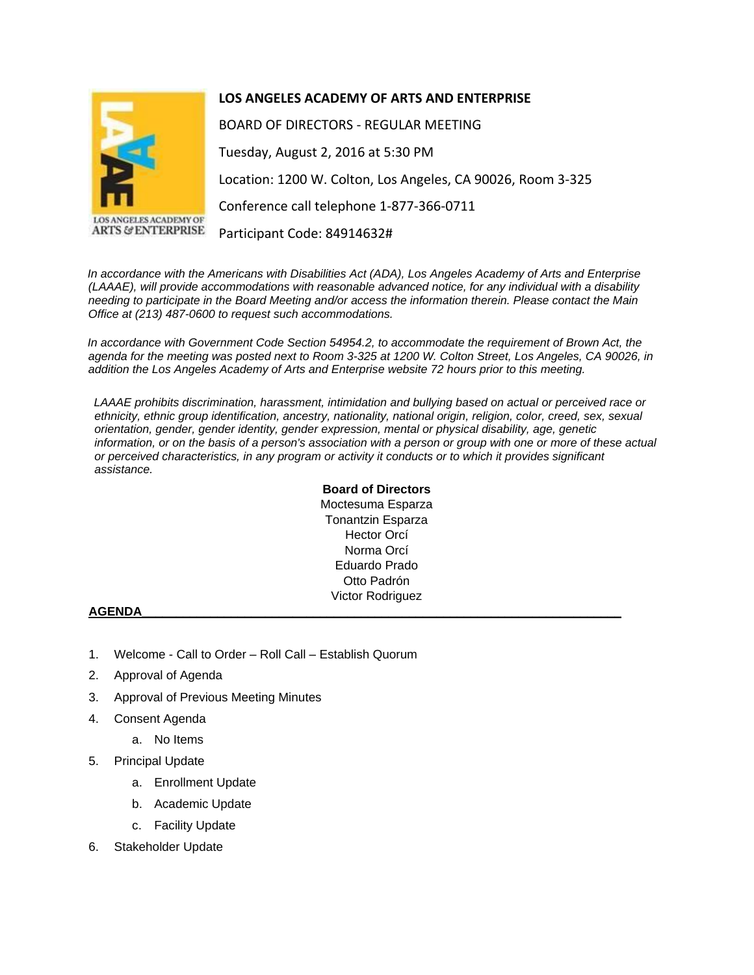

LOS ANGELES ACADEMY OF **ARTS & ENTERPRISE** 

## **LOS ANGELES ACADEMY OF ARTS AND ENTERPRISE**

BOARD OF DIRECTORS - REGULAR MEETING Tuesday, August 2, 2016 at 5:30 PM Location: 1200 W. Colton, Los Angeles, CA 90026, Room 3-325 Conference call telephone 1-877-366-0711 Participant Code: 84914632#

*In accordance with the Americans with Disabilities Act (ADA), Los Angeles Academy of Arts and Enterprise (LAAAE), will provide accommodations with reasonable advanced notice, for any individual with a disability needing to participate in the Board Meeting and/or access the information therein. Please contact the Main Office at (213) 487-0600 to request such accommodations.* 

*In accordance with Government Code Section 54954.2, to accommodate the requirement of Brown Act, the agenda for the meeting was posted next to Room 3-325 at 1200 W. Colton Street, Los Angeles, CA 90026, in addition the Los Angeles Academy of Arts and Enterprise website 72 hours prior to this meeting.* 

*LAAAE prohibits discrimination, harassment, intimidation and bullying based on actual or perceived race or ethnicity, ethnic group identification, ancestry, nationality, national origin, religion, color, creed, sex, sexual orientation, gender, gender identity, gender expression, mental or physical disability, age, genetic information, or on the basis of a person's association with a person or group with one or more of these actual or perceived characteristics, in any program or activity it conducts or to which it provides significant assistance.* 

## **Board of Directors** Moctesuma Esparza Tonantzin Esparza Hector Orcí Norma Orcí Eduardo Prado Otto Padrón Victor Rodriguez

## **AGENDA\_\_\_\_\_\_\_\_\_\_\_\_\_\_\_\_\_\_\_\_\_\_\_\_\_\_\_\_\_\_\_\_\_\_\_\_\_\_\_\_\_\_\_\_\_\_\_\_\_\_\_\_\_\_\_\_\_\_\_\_\_\_\_\_\_\_\_\_\_\_**

- 1. Welcome Call to Order Roll Call Establish Quorum
- 2. Approval of Agenda
- 3. Approval of Previous Meeting Minutes
- 4. Consent Agenda
	- a. No Items
- 5. Principal Update
	- a. Enrollment Update
	- b. Academic Update
	- c. Facility Update
- 6. Stakeholder Update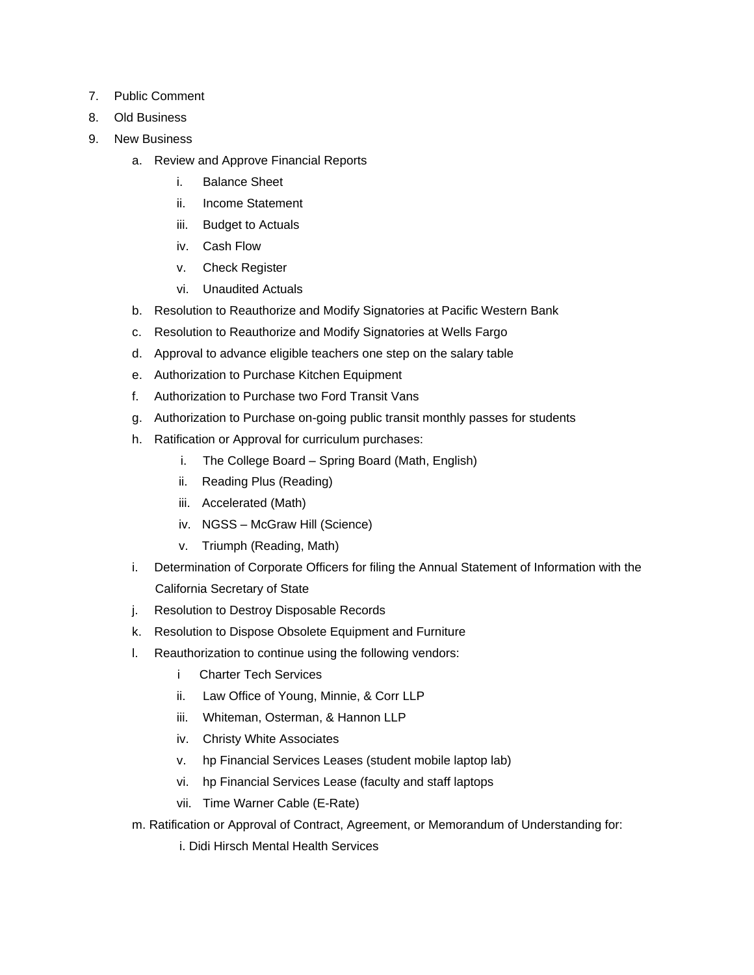- 7. Public Comment
- 8. Old Business
- 9. New Business
	- a. Review and Approve Financial Reports
		- i. Balance Sheet
		- ii. Income Statement
		- iii. Budget to Actuals
		- iv. Cash Flow
		- v. Check Register
		- vi. Unaudited Actuals
	- b. Resolution to Reauthorize and Modify Signatories at Pacific Western Bank
	- c. Resolution to Reauthorize and Modify Signatories at Wells Fargo
	- d. Approval to advance eligible teachers one step on the salary table
	- e. Authorization to Purchase Kitchen Equipment
	- f. Authorization to Purchase two Ford Transit Vans
	- g. Authorization to Purchase on-going public transit monthly passes for students
	- h. Ratification or Approval for curriculum purchases:
		- i. The College Board Spring Board (Math, English)
		- ii. Reading Plus (Reading)
		- iii. Accelerated (Math)
		- iv. NGSS McGraw Hill (Science)
		- v. Triumph (Reading, Math)
	- i. Determination of Corporate Officers for filing the Annual Statement of Information with the California Secretary of State
	- j. Resolution to Destroy Disposable Records
	- k. Resolution to Dispose Obsolete Equipment and Furniture
	- l. Reauthorization to continue using the following vendors:
		- i Charter Tech Services
		- ii. Law Office of Young, Minnie, & Corr LLP
		- iii. Whiteman, Osterman, & Hannon LLP
		- iv. Christy White Associates
		- v. hp Financial Services Leases (student mobile laptop lab)
		- vi. hp Financial Services Lease (faculty and staff laptops
		- vii. Time Warner Cable (E-Rate)
	- m. Ratification or Approval of Contract, Agreement, or Memorandum of Understanding for:
		- i. Didi Hirsch Mental Health Services